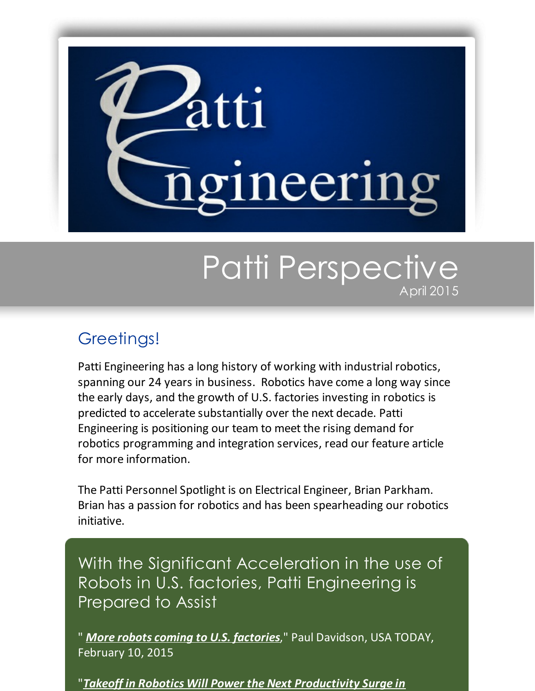

## Patti Perspective April 2015

## Greetings!

Patti Engineering has a long history of working with industrial robotics, spanning our 24 years in business. Robotics have come a long way since the early days, and the growth of U.S. factories investing in robotics is predicted to accelerate substantially over the next decade. Patti Engineering is positioning our team to meet the rising demand for robotics programming and integration services, read our feature article for more information.

The Patti Personnel Spotlight is on Electrical Engineer, Brian Parkham. Brian has a passion for robotics and has been spearheading our robotics initiative.

With the Significant Acceleration in the use of Robots in U.S. factories, Patti Engineering is Prepared to Assist

" *More robots coming to U.S. [factories](http://www.usatoday.com/story/money/2015/02/09/bcg-report-on-factory-robots/23143259/?utm_source=Patti+Perspective_April+2015&utm_campaign=Newsletter+April+2015&utm_medium=email)*," Paul Davidson, USA TODAY, February 10, 2015

"*Takeoff in Robotics Will Power the Next Productivity Surge in*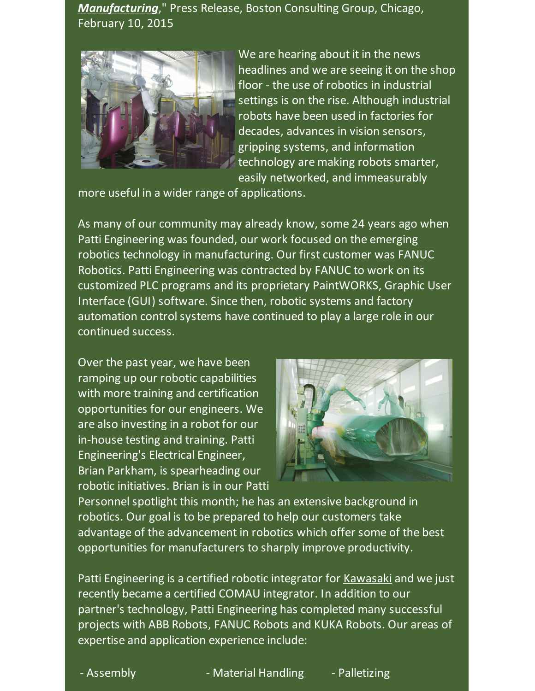*[Manufacturing](http://www.bcg.com/media/PressReleaseDetails.aspx?id=tcm:12-181684&utm_source=Patti+Perspective_April+2015&utm_campaign=Newsletter+April+2015&utm_medium=email)*," Press Release, Boston Consulting Group, Chicago, February 10, 2015



We are hearing about it in the news headlines and we are seeing it on the shop floor - the use of robotics in industrial settings is on the rise. Although industrial robots have been used in factories for decades, advances in vision sensors, gripping systems, and information technology are making robots smarter, easily networked, and immeasurably

more useful in a wider range of applications.

As many of our community may already know, some 24 years ago when Patti Engineering was founded, our work focused on the emerging robotics technology in manufacturing. Our first customer was FANUC Robotics. Patti Engineering was contracted by FANUC to work on its customized PLC programs and its proprietary PaintWORKS, Graphic User Interface (GUI) software. Since then, robotic systems and factory automation control systems have continued to play a large role in our continued success.

Over the past year, we have been ramping up our robotic capabilities with more training and certification opportunities for our engineers. We are also investing in a robot for our in-house testing and training. Patti Engineering's Electrical Engineer, Brian Parkham, is spearheading our robotic initiatives. Brian is in our Patti



Personnel spotlight this month; he has an extensive background in robotics. Our goal is to be prepared to help our customers take advantage of the advancement in robotics which offer some of the best opportunities for manufacturers to sharply improve productivity.

Patti Engineering is a certified robotic integrator for [Kawasaki](http://pattiengineering.com/partners/kawasaki-robotics-authorized-integrator/?utm_source=Patti+Perspective_April+2015&utm_campaign=Newsletter+April+2015&utm_medium=email) and we just recently became a certified COMAU integrator. In addition to our partner's technology, Patti Engineering has completed many successful projects with ABB Robots, FANUC Robots and KUKA Robots. Our areas of expertise and application experience include:

- Assembly **- Material Handling - Palletizing**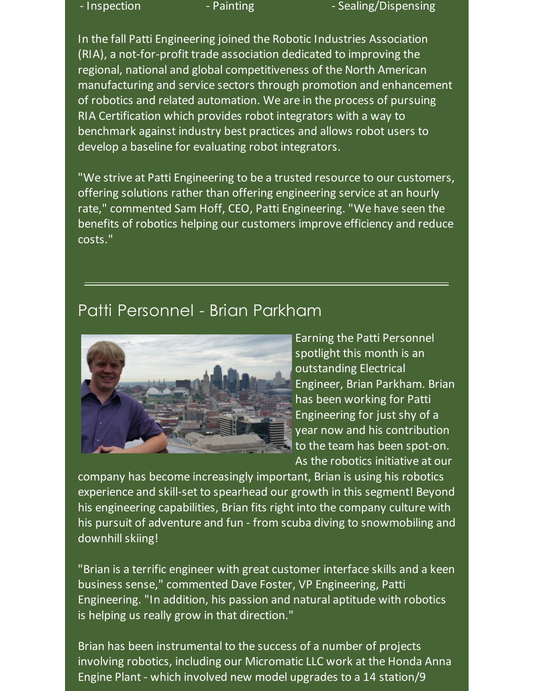- Inspection - Painting - Sealing/Dispensing

In the fall Patti Engineering joined the Robotic Industries Association (RIA), a not-for-profit trade association dedicated to improving the regional, national and global competitiveness of the North American manufacturing and service sectors through promotion and enhancement of robotics and related automation. We are in the process of pursuing RIA Certification which provides robot integrators with a way to benchmark against industry best practices and allows robot users to develop a baseline for evaluating robot integrators.

"We strive at Patti Engineering to be a trusted resource to our customers, offering solutions rather than offering engineering service at an hourly rate," commented Sam Hoff, CEO, Patti Engineering. "We have seen the benefits of robotics helping our customers improve efficiency and reduce costs."

## Patti Personnel - Brian Parkham



Earning the Patti Personnel spotlight this month is an outstanding Electrical Engineer, Brian Parkham. Brian has been working for Patti Engineering for just shy of a year now and his contribution to the team has been spot-on. As the robotics initiative at our

company has become increasingly important, Brian is using his robotics experience and skill-set to spearhead our growth in this segment! Beyond his engineering capabilities, Brian fits right into the company culture with his pursuit of adventure and fun - from scuba diving to snowmobiling and downhill skiing!

"Brian is a terrific engineer with great customer interface skills and a keen business sense," commented Dave Foster, VP Engineering, Patti Engineering. "In addition, his passion and natural aptitude with robotics is helping us really grow in that direction."

Brian has been instrumental to the success of a number of projects involving robotics, including our Micromatic LLC work at the Honda Anna Engine Plant - which involved new model upgrades to a 14 station/9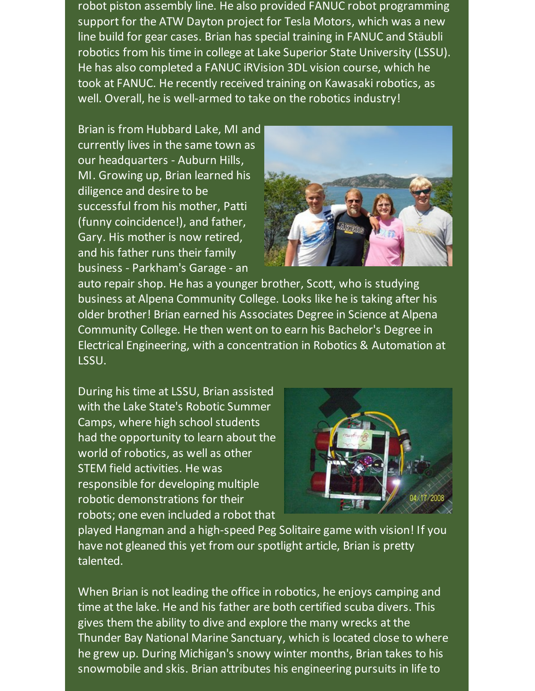robot piston assembly line. He also provided FANUC robot programming support for the ATW Dayton project for Tesla Motors, which was a new line build for gear cases. Brian has special training in FANUC and Stäubli robotics from his time in college at Lake Superior State University (LSSU). He has also completed a FANUC iRVision 3DL vision course, which he took at FANUC. He recently received training on Kawasaki robotics, as well. Overall, he is well-armed to take on the robotics industry!

Brian is from Hubbard Lake, MI and currently lives in the same town as our headquarters - Auburn Hills, MI. Growing up, Brian learned his diligence and desire to be successful from his mother, Patti (funny coincidence!), and father, Gary. His mother is now retired, and his father runs their family business - Parkham's Garage - an



auto repair shop. He has a younger brother, Scott, who is studying business at Alpena Community College. Looks like he is taking after his older brother! Brian earned his Associates Degree in Science at Alpena Community College. He then went on to earn his Bachelor's Degree in Electrical Engineering, with a concentration in Robotics & Automation at LSSU.

During his time at LSSU, Brian assisted with the Lake State's Robotic Summer Camps, where high school students had the opportunity to learn about the world of robotics, as well as other STEM field activities. He was responsible for developing multiple robotic demonstrations for their robots; one even included a robot that



played Hangman and a high-speed Peg Solitaire game with vision! If you have not gleaned this yet from our spotlight article, Brian is pretty talented.

When Brian is not leading the office in robotics, he enjoys camping and time at the lake. He and his father are both certified scuba divers. This gives them the ability to dive and explore the many wrecks at the Thunder Bay National Marine Sanctuary, which is located close to where he grew up. During Michigan's snowy winter months, Brian takes to his snowmobile and skis. Brian attributes his engineering pursuits in life to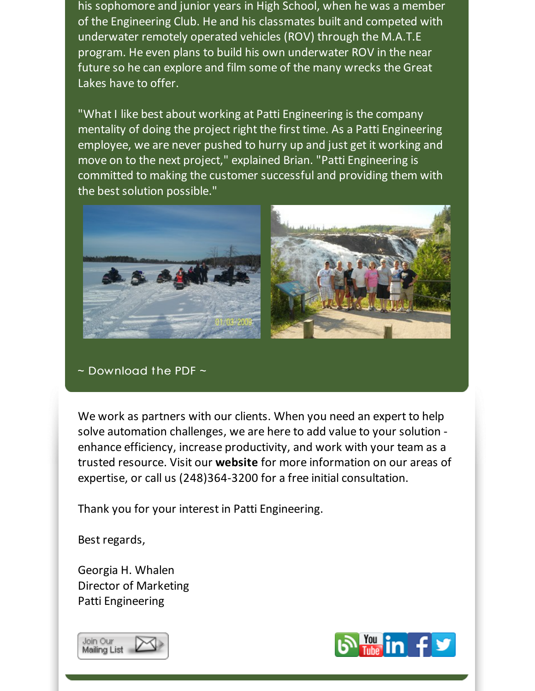his sophomore and junior years in High School, when he was a member of the Engineering Club. He and his classmates built and competed with underwater remotely operated vehicles (ROV) through the M.A.T.E program. He even plans to build his own underwater ROV in the near future so he can explore and film some of the many wrecks the Great Lakes have to offer.

"What I like best about working at Patti Engineering is the company mentality of doing the project right the first time. As a Patti Engineering employee, we are never pushed to hurry up and just get it working and move on to the next project," explained Brian. "Patti Engineering is committed to making the customer successful and providing them with the best solution possible."



 $\sim$  [Download](http://files.ctctcdn.com/59cb3837001/9521cce6-a004-4142-9fcc-0f38bc295ddc.pdf?utm_source=Patti+Perspective_April+2015&utm_campaign=Newsletter+April+2015&utm_medium=email) the PDF  $\sim$ 

We work as partners with our clients. When you need an expert to help solve automation challenges, we are here to add value to your solution enhance efficiency, increase productivity, and work with your team as a trusted resource. Visit our **[website](http://www.pattieng.com/expertise.html?utm_source=Patti+Perspective_April+2015&utm_campaign=Newsletter+April+2015&utm_medium=email)** for more information on our areas of expertise, or call us (248)364-3200 for a free initial consultation.

Thank you for your interest in Patti Engineering.

Best regards,

Georgia H. Whalen Director of Marketing Patti Engineering